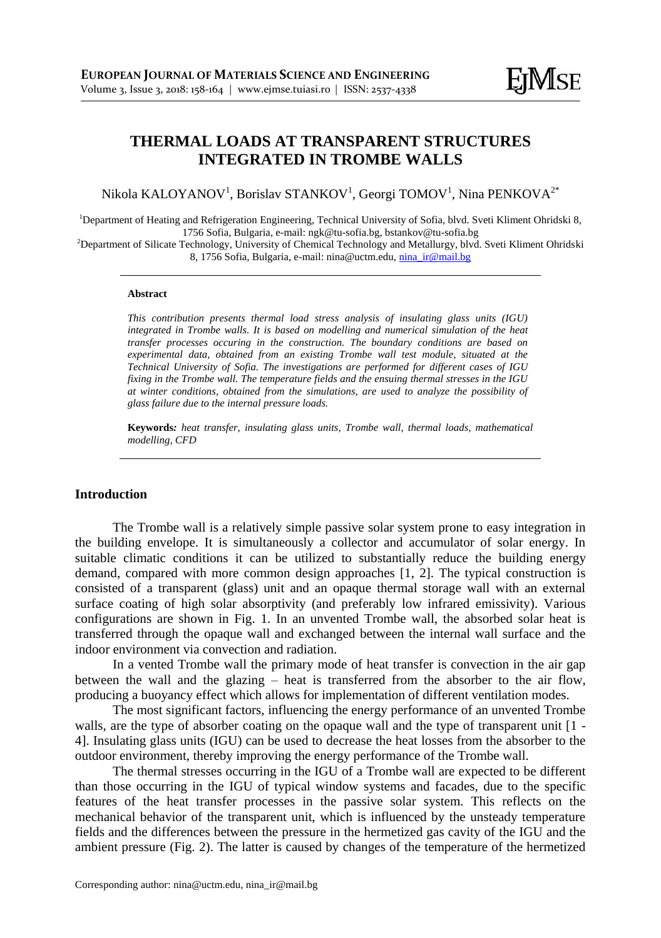# **THERMAL LOADS AT TRANSPARENT STRUCTURES INTEGRATED IN TROMBE WALLS**

Nikola KALOYANOV $^{\rm l}$ , Borislav STANKOV $^{\rm l}$ , Georgi TOMOV $^{\rm l}$ , Nina PENKOVA $^{\rm 2^*}$ 

<sup>1</sup>Department of Heating and Refrigeration Engineering, Technical University of Sofia, blvd. Sveti Kliment Ohridski 8, 1756 Sofia, Bulgaria, e-mail: ngk@tu-sofia.bg, bstankov@tu-sofia.bg

<sup>2</sup>Department of Silicate Technology, University of Chemical Technology and Metallurgy, blvd. Sveti Kliment Ohridski 8, 1756 Sofia, Bulgaria, e-mail: nina@uctm.edu[, nina\\_ir@mail.bg](mailto:nina_ir@mail.bg)

#### **Abstract**

*This contribution presents thermal load stress analysis of insulating glass units (IGU) integrated in Trombe walls. It is based on modelling and numerical simulation of the heat transfer processes occuring in the construction. The boundary conditions are based on experimental data, obtained from an existing Trombe wall test module, situated at the Technical University of Sofia. The investigations are performed for different cases of IGU fixing in the Trombe wall. The temperature fields and the ensuing thermal stresses in the IGU at winter conditions, obtained from the simulations, are used to analyze the possibility of glass failure due to the internal pressure loads.*

**Keywords***: heat transfer, insulating glass units, Trombe wall, thermal loads, mathematical modelling, CFD*

#### **Introduction**

The Trombe wall is a relatively simple passive solar system prone to easy integration in the building envelope. It is simultaneously a collector and accumulator of solar energy. In suitable climatic conditions it can be utilized to substantially reduce the building energy demand, compared with more common design approaches [1, 2]. The typical construction is consisted of a transparent (glass) unit and an opaque thermal storage wall with an external surface coating of high solar absorptivity (and preferably low infrared emissivity). Various configurations are shown in Fig. 1. In an unvented Trombe wall, the absorbed solar heat is transferred through the opaque wall and exchanged between the internal wall surface and the indoor environment via convection and radiation.

In a vented Trombe wall the primary mode of heat transfer is convection in the air gap between the wall and the glazing – heat is transferred from the absorber to the air flow, producing a buoyancy effect which allows for implementation of different ventilation modes.

The most significant factors, influencing the energy performance of an unvented Trombe walls, are the type of absorber coating on the opaque wall and the type of transparent unit [1 -4]. Insulating glass units (IGU) can be used to decrease the heat losses from the absorber to the outdoor environment, thereby improving the energy performance of the Trombe wall.

The thermal stresses occurring in the IGU of a Trombe wall are expected to be different than those occurring in the IGU of typical window systems and facades, due to the specific features of the heat transfer processes in the passive solar system. This reflects on the mechanical behavior of the transparent unit, which is influenced by the unsteady temperature fields and the differences between the pressure in the hermetized gas cavity of the IGU and the ambient pressure (Fig. 2). The latter is caused by changes of the temperature of the hermetized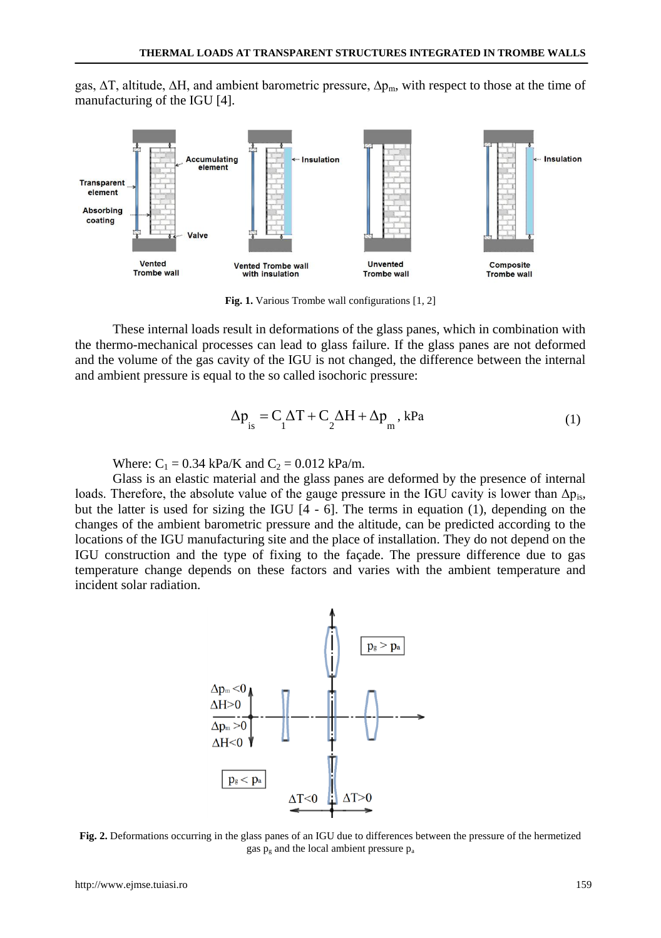gas, ΔT, altitude, ΔH, and ambient barometric pressure, Δp<sub>m</sub>, with respect to those at the time of manufacturing of the IGU [4].



**Fig. 1.** Various Trombe wall configurations [1, 2]

These internal loads result in deformations of the glass panes, which in combination with the thermo-mechanical processes can lead to glass failure. If the glass panes are not deformed and the volume of the gas cavity of the IGU is not changed, the difference between the internal and ambient pressure is equal to the so called isochoric pressure:

$$
\Delta p_{is} = C_1 \Delta T + C_2 \Delta H + \Delta p_m, \, kPa
$$
 (1)

Where:  $C_1 = 0.34$  kPa/K and  $C_2 = 0.012$  kPa/m.

Glass is an elastic material and the glass panes are deformed by the presence of internal loads. Therefore, the absolute value of the gauge pressure in the IGU cavity is lower than  $\Delta p_{is}$ , but the latter is used for sizing the IGU [4 - 6]. The terms in equation (1), depending on the changes of the ambient barometric pressure and the altitude, can be predicted according to the locations of the IGU manufacturing site and the place of installation. They do not depend on the IGU construction and the type of fixing to the façade. The pressure difference due to gas temperature change depends on these factors and varies with the ambient temperature and incident solar radiation.



**Fig. 2.** Deformations occurring in the glass panes of an IGU due to differences between the pressure of the hermetized gas p<sup>g</sup> and the local ambient pressure p<sup>a</sup>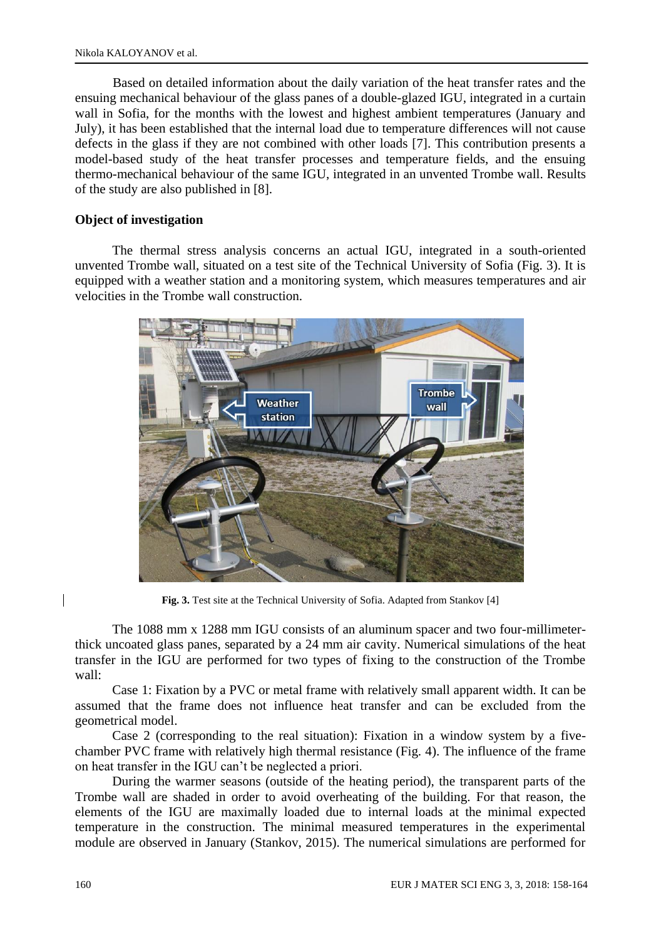Based on detailed information about the daily variation of the heat transfer rates and the ensuing mechanical behaviour of the glass panes of a double-glazed IGU, integrated in a curtain wall in Sofia, for the months with the lowest and highest ambient temperatures (January and July), it has been established that the internal load due to temperature differences will not cause defects in the glass if they are not combined with other loads [7]. This contribution presents a model-based study of the heat transfer processes and temperature fields, and the ensuing thermo-mechanical behaviour of the same IGU, integrated in an unvented Trombe wall. Results of the study are also published in [8].

### **Object of investigation**

The thermal stress analysis concerns an actual IGU, integrated in a south-oriented unvented Trombe wall, situated on a test site of the Technical University of Sofia (Fig. 3). It is equipped with a weather station and a monitoring system, which measures temperatures and air velocities in the Trombe wall construction.



**Fig. 3.** Test site at the Technical University of Sofia. Adapted from Stankov [4]

The 1088 mm x 1288 mm IGU consists of an aluminum spacer and two four-millimeterthick uncoated glass panes, separated by a 24 mm air cavity. Numerical simulations of the heat transfer in the IGU are performed for two types of fixing to the construction of the Trombe wall:

Case 1: Fixation by a PVC or metal frame with relatively small apparent width. It can be assumed that the frame does not influence heat transfer and can be excluded from the geometrical model.

Case 2 (corresponding to the real situation): Fixation in a window system by a fivechamber PVC frame with relatively high thermal resistance (Fig. 4). The influence of the frame on heat transfer in the IGU can't be neglected a priori.

During the warmer seasons (outside of the heating period), the transparent parts of the Trombe wall are shaded in order to avoid overheating of the building. For that reason, the elements of the IGU are maximally loaded due to internal loads at the minimal expected temperature in the construction. The minimal measured temperatures in the experimental module are observed in January (Stankov, 2015). The numerical simulations are performed for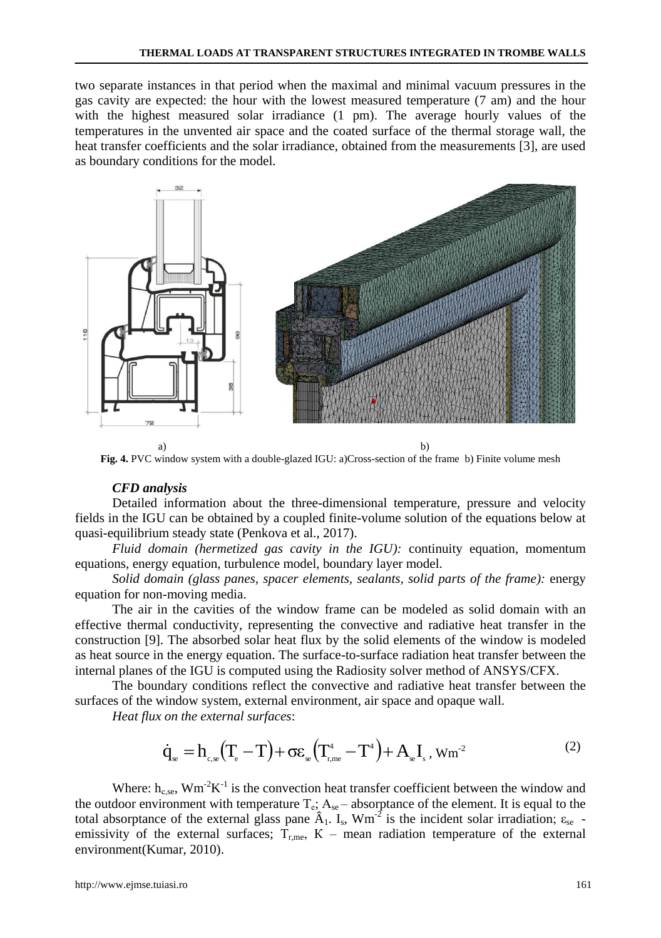two separate instances in that period when the maximal and minimal vacuum pressures in the gas cavity are expected: the hour with the lowest measured temperature (7 am) and the hour with the highest measured solar irradiance (1 pm). The average hourly values of the temperatures in the unvented air space and the coated surface of the thermal storage wall, the heat transfer coefficients and the solar irradiance, obtained from the measurements [3], are used as boundary conditions for the model.



**Fig. 4.** PVC window system with a double-glazed IGU: a)Cross-section of the frame b) Finite volume mesh

#### *CFD analysis*

Detailed information about the three-dimensional temperature, pressure and velocity fields in the IGU can be obtained by a coupled finite-volume solution of the equations below at quasi-equilibrium steady state (Penkova et al., 2017).

*Fluid domain (hermetized gas cavity in the IGU):* continuity equation, momentum equations, energy equation, turbulence model, boundary layer model.

*Solid domain (glass panes, spacer elements, sealants, solid parts of the frame):* energy equation for non-moving media.

The air in the cavities of the window frame can be modeled as solid domain with an effective thermal conductivity, representing the convective and radiative heat transfer in the construction [9]. The absorbed solar heat flux by the solid elements of the window is modeled as heat source in the energy equation. The surface-to-surface radiation heat transfer between the internal planes of the IGU is computed using the Radiosity solver method of ANSYS/CFX.

The boundary conditions reflect the convective and radiative heat transfer between the surfaces of the window system, external environment, air space and opaque wall.

*Heat flux on the external surfaces*:

$$
\dot{q}_{\ast} = h_{\mathbf{c},\mathbf{e}} \left( \mathbf{T}_{\mathbf{c}} - \mathbf{T} \right) + \sigma \varepsilon_{\mathbf{e}} \left( \mathbf{T}_{\mathbf{r},\mathbf{me}}^4 - \mathbf{T}^4 \right) + \mathbf{A}_{\mathbf{e}} \mathbf{I}_{\mathbf{s}}, \mathbf{W} \mathbf{m}^{-2}
$$
\n<sup>(2)</sup>

Where:  $h_{\text{c,se}}$ , Wm<sup>-2</sup>K<sup>-1</sup> is the convection heat transfer coefficient between the window and the outdoor environment with temperature  $T_e$ ;  $A_{se}$  – absorptance of the element. It is equal to the total absorptance of the external glass pane  $\hat{A}_1$ . I<sub>s</sub>, Wm<sup>-2</sup> is the incident solar irradiation;  $\varepsilon_{se}$  emissivity of the external surfaces;  $T_{\text{r,me}}$ ,  $K$  – mean radiation temperature of the external environment(Kumar, 2010).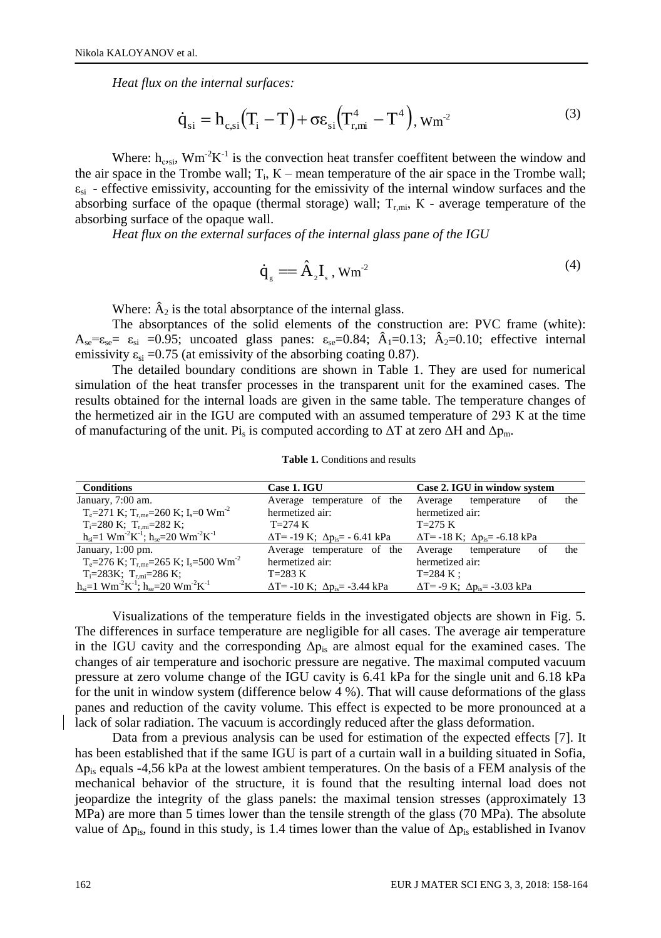*Heat flux on the internal surfaces:*

$$
\dot{\mathbf{q}}_{\rm si} = \mathbf{h}_{\rm c, si} \left( \mathbf{T}_{\rm i} - \mathbf{T} \right) + \sigma \varepsilon_{\rm si} \left( \mathbf{T}_{\rm r, mi}^4 - \mathbf{T}^4 \right), \mathbf{W} \mathbf{m}^2 \tag{3}
$$

Where:  $h_{\text{c-si}}$ , Wm<sup>-2</sup>K<sup>-1</sup> is the convection heat transfer coeffitent between the window and the air space in the Trombe wall;  $T_i$ ,  $K$  – mean temperature of the air space in the Trombe wall;  $\varepsilon_{si}$  - effective emissivity, accounting for the emissivity of the internal window surfaces and the absorbing surface of the opaque (thermal storage) wall;  $T_{r,mi}$ , K - average temperature of the absorbing surface of the opaque wall.

*Heat flux on the external surfaces of the internal glass pane of the IGU*

$$
\dot{\mathbf{q}}_{s} = \hat{\mathbf{A}}_{2} \mathbf{I}_{s} \,, \mathbf{W} \mathbf{m}^{2} \tag{4}
$$

Where:  $\hat{A}_2$  is the total absorptance of the internal glass.

The absorptances of the solid elements of the construction are: PVC frame (white):  $A_{se}= \varepsilon_{se}= \varepsilon_{si}$  =0.95; uncoated glass panes:  $\varepsilon_{se}=0.84$ ;  $\hat{A}_{1}=0.13$ ;  $\hat{A}_{2}=0.10$ ; effective internal emissivity  $\varepsilon_{si}$  =0.75 (at emissivity of the absorbing coating 0.87).

The detailed boundary conditions are shown in Table 1. They are used for numerical simulation of the heat transfer processes in the transparent unit for the examined cases. The results obtained for the internal loads are given in the same table. The temperature changes of the hermetized air in the IGU are computed with an assumed temperature of 293 К at the time of manufacturing of the unit. Pi<sub>s</sub> is computed according to  $\Delta T$  at zero  $\Delta H$  and  $\Delta p_m$ .

| <b>Conditions</b>                                                                          | <b>Case 1. IGU</b>                               | Case 2. IGU in window system                    |
|--------------------------------------------------------------------------------------------|--------------------------------------------------|-------------------------------------------------|
| January, 7:00 am.                                                                          | Average temperature of the Average               | the<br>temperature<br>οf                        |
| $T_e = 271$ K; $T_{rme} = 260$ K; $I_s = 0$ Wm <sup>-2</sup>                               | hermetized air:                                  | hermetized air:                                 |
| $T_i = 280 \text{ K}; T_{r,mi} = 282 \text{ K};$                                           | $T=274 K$                                        | $T=275 K$                                       |
| $h_{si}=1$ Wm <sup>-2</sup> K <sup>-1</sup> ; $h_{se}=20$ Wm <sup>-2</sup> K <sup>-1</sup> | $\Delta T$ = -19 K; $\Delta p_{is}$ = - 6.41 kPa | $\Delta T$ = -18 K; $\Delta p_{is}$ = -6.18 kPa |
| January, 1:00 pm.                                                                          | Average temperature of the Average temperature   | the<br>of                                       |
| $T_e = 276$ K; $T_{r, me} = 265$ K; $I_s = 500$ Wm <sup>-2</sup>                           | hermetized air:                                  | hermetized air:                                 |
| $T_i = 283K$ ; $T_{r,mi} = 286K$ ;                                                         | $T=283 K$                                        | $T = 284 K$ :                                   |
| $h_{si}=1$ Wm <sup>-2</sup> K <sup>-1</sup> ; $h_{se}=20$ Wm <sup>-2</sup> K <sup>-1</sup> | $\Delta T$ = -10 K; $\Delta p_{is}$ = -3.44 kPa  | $\Delta T = -9$ K; $\Delta p_{is} = -3.03$ kPa  |

**Table 1.** Conditions and results

Visualizations of the temperature fields in the investigated objects are shown in Fig. 5. The differences in surface temperature are negligible for all cases. The average air temperature in the IGU cavity and the corresponding  $\Delta p_{is}$  are almost equal for the examined cases. The changes of air temperature and isochoric pressure are negative. The maximal computed vacuum pressure at zero volume change of the IGU cavity is 6.41 kPa for the single unit and 6.18 kPa for the unit in window system (difference below 4 %). That will cause deformations of the glass panes and reduction of the cavity volume. This effect is expected to be more pronounced at a lack of solar radiation. The vacuum is accordingly reduced after the glass deformation.

Data from a previous analysis can be used for estimation of the expected effects [7]. It has been established that if the same IGU is part of a curtain wall in a building situated in Sofia,  $\Delta p_{is}$  equals -4,56 kPa at the lowest ambient temperatures. On the basis of a FEM analysis of the mechanical behavior of the structure, it is found that the resulting internal load does not jeopardize the integrity of the glass panels: the maximal tension stresses (approximately 13 MPa) are more than 5 times lower than the tensile strength of the glass (70 MPa). The absolute value of  $\Delta p_{is}$ , found in this study, is 1.4 times lower than the value of  $\Delta p_{is}$  established in Ivanov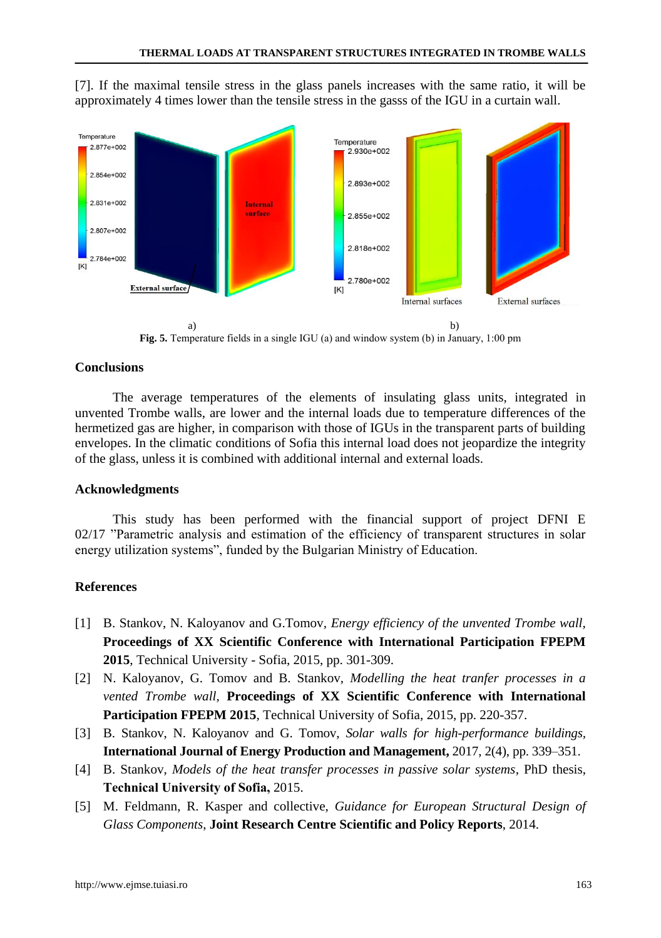[7]. If the maximal tensile stress in the glass panels increases with the same ratio, it will be approximately 4 times lower than the tensile stress in the gasss of the IGU in a curtain wall.



**Fig. 5.** Temperature fields in a single IGU (а) and window system (b) in January, 1:00 pm

## **Conclusions**

The average temperatures of the elements of insulating glass units, integrated in unvented Trombe walls, are lower and the internal loads due to temperature differences of the hermetized gas are higher, in comparison with those of IGUs in the transparent parts of building envelopes. In the climatic conditions of Sofia this internal load does not jeopardize the integrity of the glass, unless it is combined with additional internal and external loads.

#### **Acknowledgments**

This study has been performed with the financial support of project DFNI E 02/17 "Parametric analysis and estimation of the efficiency of transparent structures in solar energy utilization systems", funded by the Bulgarian Ministry of Education.

#### **References**

- [1] B. Stankov, N. Kaloyanov and G.Tomov*, Energy efficiency of the unvented Trombe wall,* **Proceedings of XX Scientific Conference with International Participation FPEPM 2015**, Technical University - Sofia, 2015, pp. 301-309.
- [2] N. Kaloyanov, G. Tomov and B. Stankov, *Modelling the heat tranfer processes in a vented Trombe wall,* **Proceedings of XX Scientific Conference with International Participation FPEPM 2015**, Technical University of Sofia, 2015, pp. 220-357.
- [3] B. Stankov, N. Kaloyanov and G. Tomov, *Solar walls for high-performance buildings,* **International Journal of Energy Production and Management,** 2017, 2(4), pp. 339–351.
- [4] B. Stankov, *Models of the heat transfer processes in passive solar systems*, PhD thesis, **Technical University of Sofiа,** 2015.
- [5] M. Feldmann, R. Kasper and collective, *Guidance for European Structural Design of Glass Components*, **Joint Research Centre Scientific and Policy Reports**, 2014.